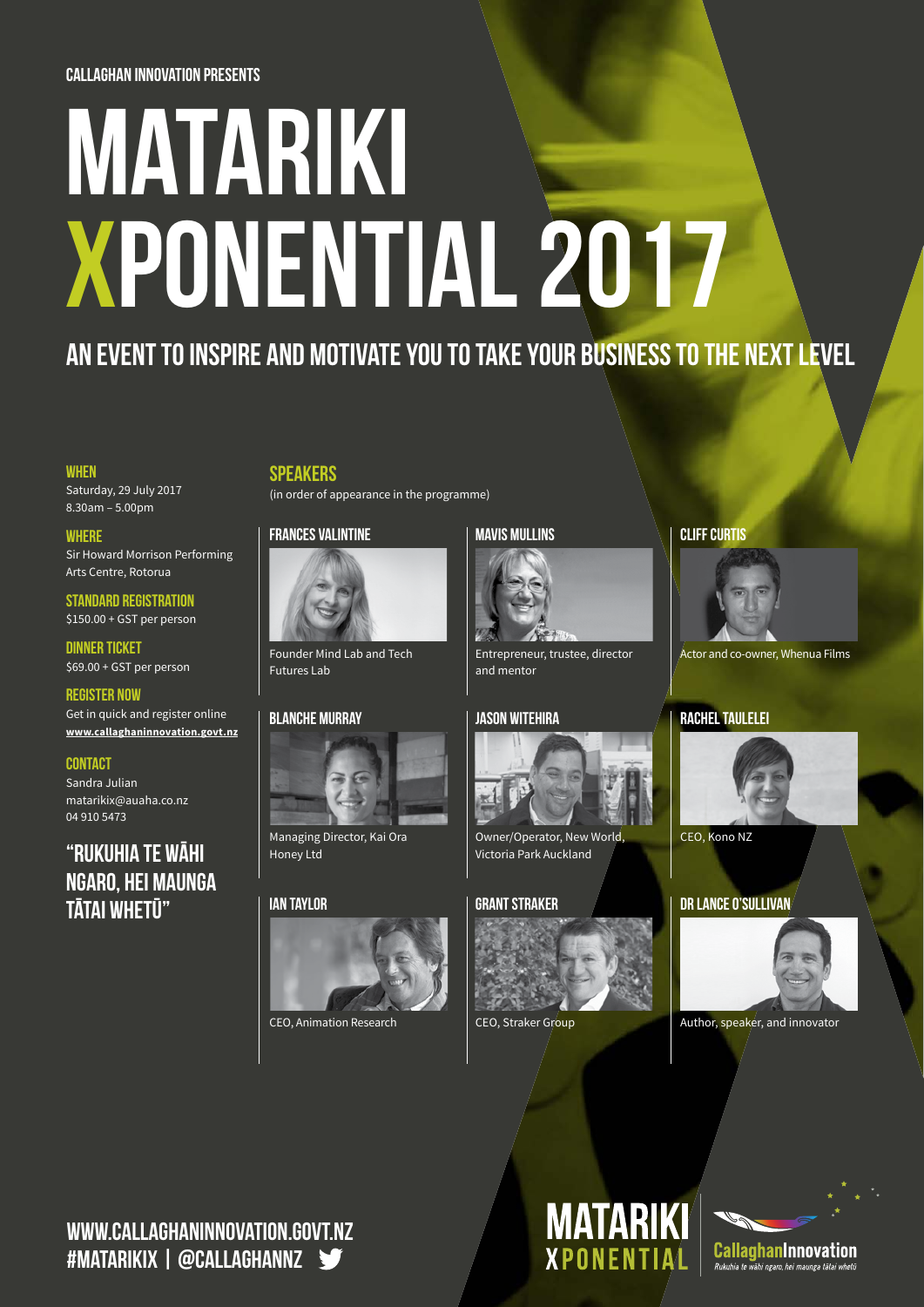#### Callaghan Innovation presents

# MATARIKI XPONENTIAL 2017

## An event to inspire and motivate you to take your business to the next level

#### **WHEN**

Saturday, 29 July 2017 8.30am – 5.00pm

#### **WHERE**

Sir Howard Morrison Performing Arts Centre, Rotorua

Standard Registration \$150.00 + GST per person

Dinner Ticket \$69.00 + GST per person

[Register Now](www.callaghaninnovation.govt.nz/news-and-events/matariki-xponential-2017)  Get in quick and [register online](https://www.callaghaninnovation.govt.nz/news-and-events/matariki-xponential-2017) **www.callaghaninnovation.govt.nz**

#### **CONTACT**

Sandra Julian matarikix@auaha.co.nz 04 910 5473

### "Rukuhia te wāhi ngaro, hei maunga tātai whetū"

#### **SPEAKERS**

(in order of appearance in the programme)

#### Frances Valintine



Founder Mind Lab and Tech Futures Lab

#### Blanche Murray



Managing Director, Kai Ora Honey Ltd

#### Ian Taylor



CEO, Animation Research

#### MAVIS MULLINS



Entrepreneur, trustee, director and mentor

#### Jason Witehira



Owner/Operator, New World, Victoria Park Auckland

#### Grant Straker



**MATARIKI** 

CEO, Straker Group

#### **CLIFF CURTIS**



Actor and co-owner, Whenua Films

#### Rachel Taulelei



CEO, Kono NZ

#### Dr Lance O'Sullivan



Author, speaker, and innovator